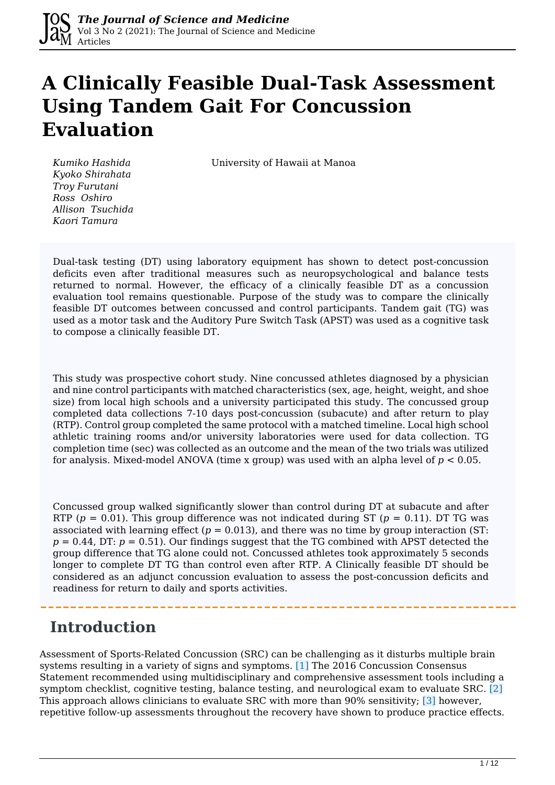# **A Clinically Feasible Dual-Task Assessment Using Tandem Gait For Concussion Evaluation**

*Kumiko Hashida* University of Hawaii at Manoa

*Kyoko Shirahata Troy Furutani Ross Oshiro Allison Tsuchida Kaori Tamura*

Dual-task testing (DT) using laboratory equipment has shown to detect post-concussion deficits even after traditional measures such as neuropsychological and balance tests returned to normal. However, the efficacy of a clinically feasible DT as a concussion evaluation tool remains questionable. Purpose of the study was to compare the clinically feasible DT outcomes between concussed and control participants. Tandem gait (TG) was used as a motor task and the Auditory Pure Switch Task (APST) was used as a cognitive task to compose a clinically feasible DT.

This study was prospective cohort study. Nine concussed athletes diagnosed by a physician and nine control participants with matched characteristics (sex, age, height, weight, and shoe size) from local high schools and a university participated this study. The concussed group completed data collections 7-10 days post-concussion (subacute) and after return to play (RTP). Control group completed the same protocol with a matched timeline. Local high school athletic training rooms and/or university laboratories were used for data collection. TG completion time (sec) was collected as an outcome and the mean of the two trials was utilized for analysis. Mixed-model ANOVA (time x group) was used with an alpha level of *p* < 0.05.

Concussed group walked significantly slower than control during DT at subacute and after RTP ( $p = 0.01$ ). This group difference was not indicated during ST ( $p = 0.11$ ). DT TG was associated with learning effect  $(p = 0.013)$ , and there was no time by group interaction (ST:  $p = 0.44$ , DT:  $p = 0.51$ ). Our findings suggest that the TG combined with APST detected the group difference that TG alone could not. Concussed athletes took approximately 5 seconds longer to complete DT TG than control even after RTP. A Clinically feasible DT should be considered as an adjunct concussion evaluation to assess the post-concussion deficits and readiness for return to daily and sports activities.

## **Introduction**

Assessment of Sports-Related Concussion (SRC) can be challenging as it disturbs multiple brain systems resulting in a variety of signs and symptoms. [1] The 2016 Concussion Consensus Statement recommended using multidisciplinary and comprehensive assessment tools including a symptom checklist, cognitive testing, balance testing, and neurological exam to evaluate SRC. [2] This approach allows clinicians to evaluate SRC with more than 90% sensitivity; [3] however, repetitive follow-up assessments throughout the recovery have shown to produce practice effects.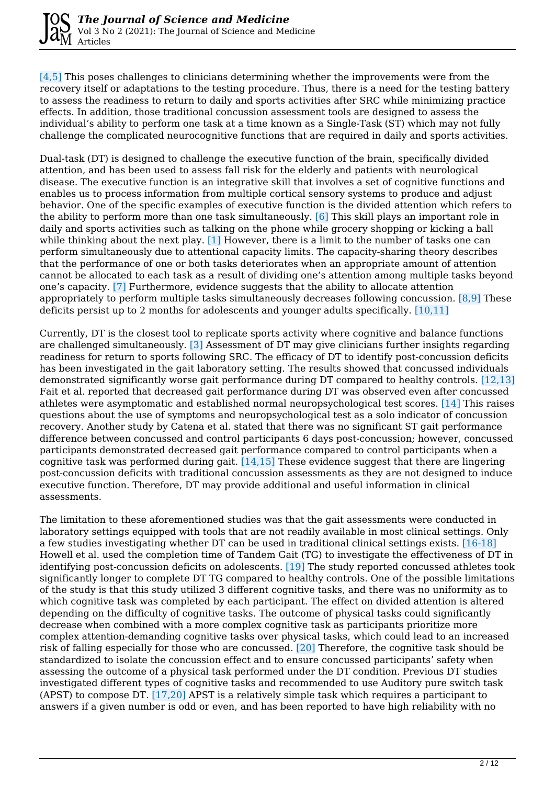[4,5] This poses challenges to clinicians determining whether the improvements were from the recovery itself or adaptations to the testing procedure. Thus, there is a need for the testing battery to assess the readiness to return to daily and sports activities after SRC while minimizing practice effects. In addition, those traditional concussion assessment tools are designed to assess the individual's ability to perform one task at a time known as a Single-Task (ST) which may not fully challenge the complicated neurocognitive functions that are required in daily and sports activities.

Dual-task (DT) is designed to challenge the executive function of the brain, specifically divided attention, and has been used to assess fall risk for the elderly and patients with neurological disease. The executive function is an integrative skill that involves a set of cognitive functions and enables us to process information from multiple cortical sensory systems to produce and adjust behavior. One of the specific examples of executive function is the divided attention which refers to the ability to perform more than one task simultaneously. [6] This skill plays an important role in daily and sports activities such as talking on the phone while grocery shopping or kicking a ball while thinking about the next play. [1] However, there is a limit to the number of tasks one can perform simultaneously due to attentional capacity limits. The capacity-sharing theory describes that the performance of one or both tasks deteriorates when an appropriate amount of attention cannot be allocated to each task as a result of dividing one's attention among multiple tasks beyond one's capacity. [7] Furthermore, evidence suggests that the ability to allocate attention appropriately to perform multiple tasks simultaneously decreases following concussion. [8,9] These deficits persist up to 2 months for adolescents and younger adults specifically. [10,11]

Currently, DT is the closest tool to replicate sports activity where cognitive and balance functions are challenged simultaneously. [3] Assessment of DT may give clinicians further insights regarding readiness for return to sports following SRC. The efficacy of DT to identify post-concussion deficits has been investigated in the gait laboratory setting. The results showed that concussed individuals demonstrated significantly worse gait performance during DT compared to healthy controls. [12,13] Fait et al. reported that decreased gait performance during DT was observed even after concussed athletes were asymptomatic and established normal neuropsychological test scores. [14] This raises questions about the use of symptoms and neuropsychological test as a solo indicator of concussion recovery. Another study by Catena et al. stated that there was no significant ST gait performance difference between concussed and control participants 6 days post-concussion; however, concussed participants demonstrated decreased gait performance compared to control participants when a cognitive task was performed during gait.  $[14,15]$  These evidence suggest that there are lingering post-concussion deficits with traditional concussion assessments as they are not designed to induce executive function. Therefore, DT may provide additional and useful information in clinical assessments.

The limitation to these aforementioned studies was that the gait assessments were conducted in laboratory settings equipped with tools that are not readily available in most clinical settings. Only a few studies investigating whether DT can be used in traditional clinical settings exists. [16-18] Howell et al. used the completion time of Tandem Gait (TG) to investigate the effectiveness of DT in identifying post-concussion deficits on adolescents. [19] The study reported concussed athletes took significantly longer to complete DT TG compared to healthy controls. One of the possible limitations of the study is that this study utilized 3 different cognitive tasks, and there was no uniformity as to which cognitive task was completed by each participant. The effect on divided attention is altered depending on the difficulty of cognitive tasks. The outcome of physical tasks could significantly decrease when combined with a more complex cognitive task as participants prioritize more complex attention-demanding cognitive tasks over physical tasks, which could lead to an increased risk of falling especially for those who are concussed. [20] Therefore, the cognitive task should be standardized to isolate the concussion effect and to ensure concussed participants' safety when assessing the outcome of a physical task performed under the DT condition. Previous DT studies investigated different types of cognitive tasks and recommended to use Auditory pure switch task (APST) to compose DT. [17,20] APST is a relatively simple task which requires a participant to answers if a given number is odd or even, and has been reported to have high reliability with no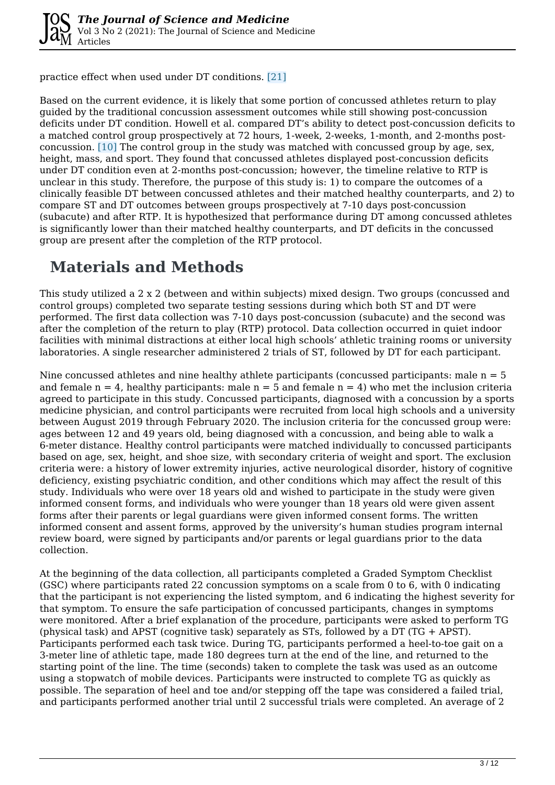practice effect when used under DT conditions. [21]

Based on the current evidence, it is likely that some portion of concussed athletes return to play guided by the traditional concussion assessment outcomes while still showing post-concussion deficits under DT condition. Howell et al. compared DT's ability to detect post-concussion deficits to a matched control group prospectively at 72 hours, 1-week, 2-weeks, 1-month, and 2-months postconcussion. [10] The control group in the study was matched with concussed group by age, sex, height, mass, and sport. They found that concussed athletes displayed post-concussion deficits under DT condition even at 2-months post-concussion; however, the timeline relative to RTP is unclear in this study. Therefore, the purpose of this study is: 1) to compare the outcomes of a clinically feasible DT between concussed athletes and their matched healthy counterparts, and 2) to compare ST and DT outcomes between groups prospectively at 7-10 days post-concussion (subacute) and after RTP. It is hypothesized that performance during DT among concussed athletes is significantly lower than their matched healthy counterparts, and DT deficits in the concussed group are present after the completion of the RTP protocol.

### **Materials and Methods**

This study utilized a 2 x 2 (between and within subjects) mixed design. Two groups (concussed and control groups) completed two separate testing sessions during which both ST and DT were performed. The first data collection was 7-10 days post-concussion (subacute) and the second was after the completion of the return to play (RTP) protocol. Data collection occurred in quiet indoor facilities with minimal distractions at either local high schools' athletic training rooms or university laboratories. A single researcher administered 2 trials of ST, followed by DT for each participant.

Nine concussed athletes and nine healthy athlete participants (concussed participants: male  $n = 5$ ) and female  $n = 4$ , healthy participants: male  $n = 5$  and female  $n = 4$ ) who met the inclusion criteria agreed to participate in this study. Concussed participants, diagnosed with a concussion by a sports medicine physician, and control participants were recruited from local high schools and a university between August 2019 through February 2020. The inclusion criteria for the concussed group were: ages between 12 and 49 years old, being diagnosed with a concussion, and being able to walk a 6-meter distance. Healthy control participants were matched individually to concussed participants based on age, sex, height, and shoe size, with secondary criteria of weight and sport. The exclusion criteria were: a history of lower extremity injuries, active neurological disorder, history of cognitive deficiency, existing psychiatric condition, and other conditions which may affect the result of this study. Individuals who were over 18 years old and wished to participate in the study were given informed consent forms, and individuals who were younger than 18 years old were given assent forms after their parents or legal guardians were given informed consent forms. The written informed consent and assent forms, approved by the university's human studies program internal review board, were signed by participants and/or parents or legal guardians prior to the data collection.

At the beginning of the data collection, all participants completed a Graded Symptom Checklist (GSC) where participants rated 22 concussion symptoms on a scale from 0 to 6, with 0 indicating that the participant is not experiencing the listed symptom, and 6 indicating the highest severity for that symptom. To ensure the safe participation of concussed participants, changes in symptoms were monitored. After a brief explanation of the procedure, participants were asked to perform TG (physical task) and APST (cognitive task) separately as STs, followed by a DT (TG + APST). Participants performed each task twice. During TG, participants performed a heel-to-toe gait on a 3-meter line of athletic tape, made 180 degrees turn at the end of the line, and returned to the starting point of the line. The time (seconds) taken to complete the task was used as an outcome using a stopwatch of mobile devices. Participants were instructed to complete TG as quickly as possible. The separation of heel and toe and/or stepping off the tape was considered a failed trial, and participants performed another trial until 2 successful trials were completed. An average of 2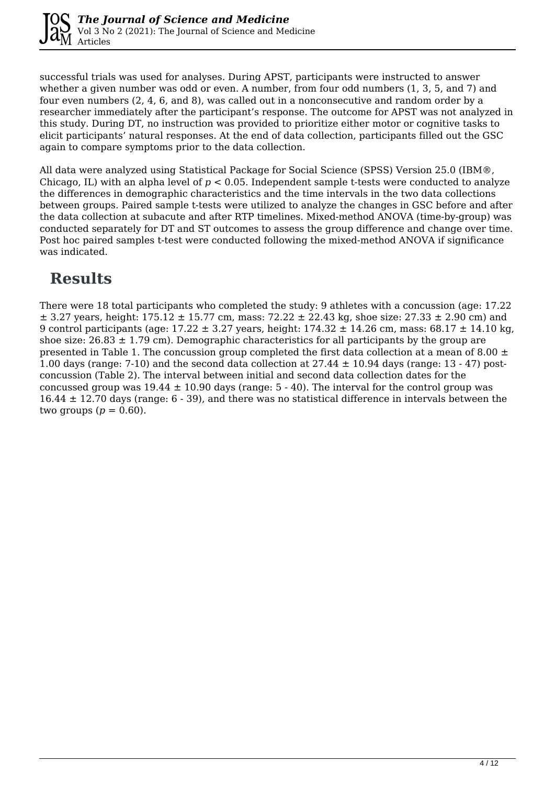

successful trials was used for analyses. During APST, participants were instructed to answer whether a given number was odd or even. A number, from four odd numbers (1, 3, 5, and 7) and four even numbers (2, 4, 6, and 8), was called out in a nonconsecutive and random order by a researcher immediately after the participant's response. The outcome for APST was not analyzed in this study. During DT, no instruction was provided to prioritize either motor or cognitive tasks to elicit participants' natural responses. At the end of data collection, participants filled out the GSC again to compare symptoms prior to the data collection.

All data were analyzed using Statistical Package for Social Science (SPSS) Version 25.0 (IBM®, Chicago, IL) with an alpha level of *p* < 0.05. Independent sample t-tests were conducted to analyze the differences in demographic characteristics and the time intervals in the two data collections between groups. Paired sample t-tests were utilized to analyze the changes in GSC before and after the data collection at subacute and after RTP timelines. Mixed-method ANOVA (time-by-group) was conducted separately for DT and ST outcomes to assess the group difference and change over time. Post hoc paired samples t-test were conducted following the mixed-method ANOVA if significance was indicated.

## **Results**

There were 18 total participants who completed the study: 9 athletes with a concussion (age: 17.22  $\pm$  3.27 years, height: 175.12  $\pm$  15.77 cm, mass: 72.22  $\pm$  22.43 kg, shoe size: 27.33  $\pm$  2.90 cm) and 9 control participants (age:  $17.22 \pm 3.27$  years, height:  $174.32 \pm 14.26$  cm, mass:  $68.17 \pm 14.10$  kg, shoe size:  $26.83 \pm 1.79$  cm). Demographic characteristics for all participants by the group are presented in Table 1. The concussion group completed the first data collection at a mean of 8.00  $\pm$ 1.00 days (range: 7-10) and the second data collection at  $27.44 \pm 10.94$  days (range: 13 - 47) postconcussion (Table 2). The interval between initial and second data collection dates for the concussed group was  $19.44 \pm 10.90$  days (range:  $5 - 40$ ). The interval for the control group was  $16.44 \pm 12.70$  days (range: 6 - 39), and there was no statistical difference in intervals between the two groups  $(p = 0.60)$ .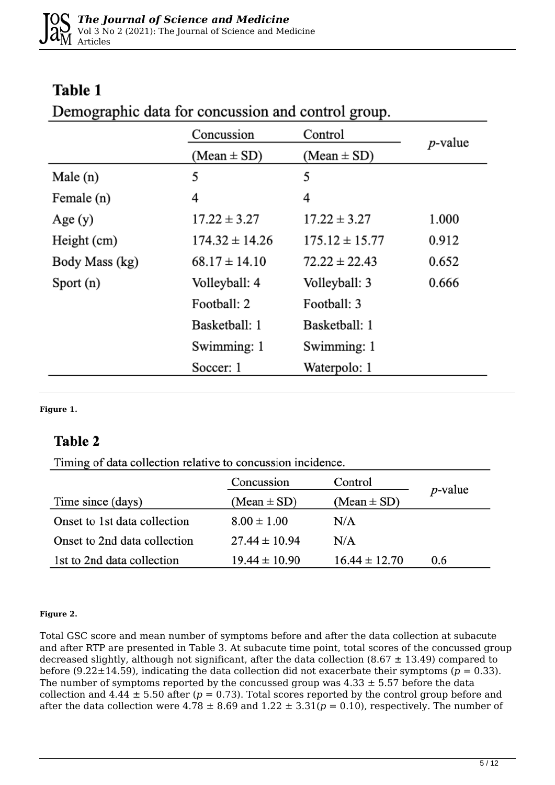### **Table 1**

| Demographic data for concussion and control group. |  |  |  |
|----------------------------------------------------|--|--|--|
|                                                    |  |  |  |

|                | Concussion         | Control            | <i>p</i> -value |  |
|----------------|--------------------|--------------------|-----------------|--|
|                | $(Mean \pm SD)$    | $(Mean \pm SD)$    |                 |  |
| Male $(n)$     | 5                  | 5                  |                 |  |
| Female (n)     | 4                  | 4                  |                 |  |
| Age(y)         | $17.22 \pm 3.27$   | $17.22 \pm 3.27$   | 1.000           |  |
| Height (cm)    | $174.32 \pm 14.26$ | $175.12 \pm 15.77$ | 0.912           |  |
| Body Mass (kg) | $68.17 \pm 14.10$  | $72.22 \pm 22.43$  | 0.652           |  |
| Sport $(n)$    | Volleyball: 4      | Volleyball: 3      | 0.666           |  |
|                | Football: 2        | Football: 3        |                 |  |
|                | Basketball: 1      | Basketball: 1      |                 |  |
|                | Swimming: 1        | Swimming: 1        |                 |  |
|                | Soccer: 1          | Waterpolo: 1       |                 |  |

**Figure 1.** 

### **Table 2**

Timing of data collection relative to concussion incidence.

|                              | Concussion<br>Control |                   | <i>p</i> -value |
|------------------------------|-----------------------|-------------------|-----------------|
| Time since (days)            | $(Mean \pm SD)$       | $(Mean \pm SD)$   |                 |
| Onset to 1st data collection | $8.00 \pm 1.00$       | N/A               |                 |
| Onset to 2nd data collection | $27.44 \pm 10.94$     | N/A               |                 |
| 1st to 2nd data collection   | $19.44 \pm 10.90$     | $16.44 \pm 12.70$ | 0.6             |

#### **Figure 2.**

Total GSC score and mean number of symptoms before and after the data collection at subacute and after RTP are presented in Table 3. At subacute time point, total scores of the concussed group decreased slightly, although not significant, after the data collection (8.67  $\pm$  13.49) compared to before (9.22 $\pm$ 14.59), indicating the data collection did not exacerbate their symptoms ( $p = 0.33$ ). The number of symptoms reported by the concussed group was  $4.33 \pm 5.57$  before the data collection and  $4.44 \pm 5.50$  after ( $p = 0.73$ ). Total scores reported by the control group before and after the data collection were  $4.78 \pm 8.69$  and  $1.22 \pm 3.31(p = 0.10)$ , respectively. The number of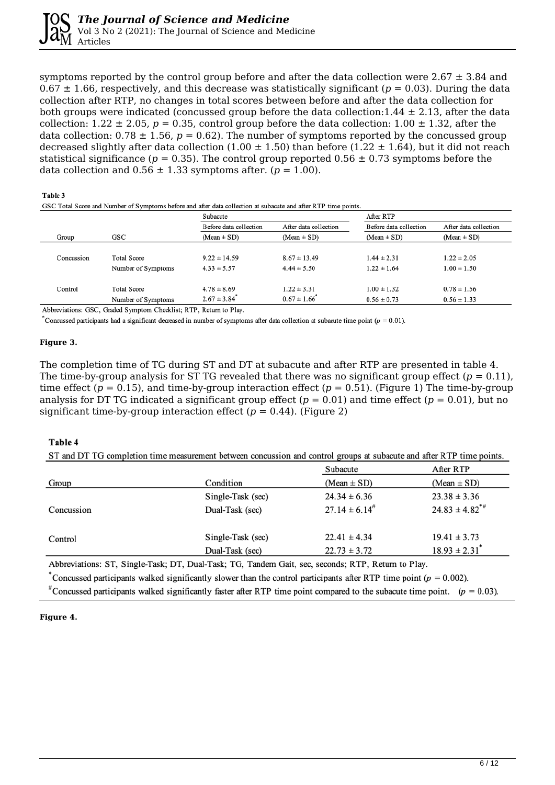symptoms reported by the control group before and after the data collection were  $2.67 \pm 3.84$  and  $0.67 \pm 1.66$ , respectively, and this decrease was statistically significant ( $p = 0.03$ ). During the data collection after RTP, no changes in total scores between before and after the data collection for both groups were indicated (concussed group before the data collection:  $1.44 \pm 2.13$ , after the data collection:  $1.22 \pm 2.05$ ,  $p = 0.35$ , control group before the data collection:  $1.00 \pm 1.32$ , after the data collection:  $0.78 \pm 1.56$ ,  $p = 0.62$ ). The number of symptoms reported by the concussed group decreased slightly after data collection (1.00  $\pm$  1.50) than before (1.22  $\pm$  1.64), but it did not reach statistical significance ( $p = 0.35$ ). The control group reported  $0.56 \pm 0.73$  symptoms before the data collection and  $0.56 \pm 1.33$  symptoms after. ( $p = 1.00$ ).

#### Table 3

|            |                    | Subacute                     |                       |                        | After RTP             |  |  |
|------------|--------------------|------------------------------|-----------------------|------------------------|-----------------------|--|--|
|            |                    | Before data collection       | After data collection | Before data collection | After data collection |  |  |
| Group      | GSC                | $(Mean \pm SD)$              | $(Mean \pm SD)$       | $(Mean \pm SD)$        | $(Mean \pm SD)$       |  |  |
|            |                    |                              |                       |                        |                       |  |  |
| Concussion | <b>Total Score</b> | $9.22 \pm 14.59$             | $8.67 \pm 13.49$      | $1.44 \pm 2.31$        | $1.22 \pm 2.05$       |  |  |
|            | Number of Symptoms | $4.33 \pm 5.57$              | $4.44 \pm 5.50$       | $1.22 \pm 1.64$        | $1.00 \pm 1.50$       |  |  |
|            |                    |                              |                       |                        |                       |  |  |
| Control    | <b>Total Score</b> | $4.78 \pm 8.69$              | $1.22 \pm 3.31$       | $1.00 \pm 1.32$        | $0.78 \pm 1.56$       |  |  |
|            | Number of Symptoms | $2.67 \pm 3.84$ <sup>*</sup> | $0.67 \pm 1.66$       | $0.56 \pm 0.73$        | $0.56 \pm 1.33$       |  |  |

Abbreviations: GSC, Graded Symptom Checklist; RTP, Return to Play.

Concussed participants had a significant decreased in number of symptoms after data collection at subacute time point ( $p = 0.01$ ).

#### **Figure 3.**

The completion time of TG during ST and DT at subacute and after RTP are presented in table 4. The time-by-group analysis for ST TG revealed that there was no significant group effect  $(p = 0.11)$ , time effect ( $p = 0.15$ ), and time-by-group interaction effect ( $p = 0.51$ ). (Figure 1) The time-by-group analysis for DT TG indicated a significant group effect  $(p = 0.01)$  and time effect  $(p = 0.01)$ , but no significant time-by-group interaction effect  $(p = 0.44)$ . (Figure 2)

#### Table 4

ST and DT TG completion time measurement between concussion and control groups at subacute and after RTP time points.

|            |                   | Subacute              | After RTP                     |
|------------|-------------------|-----------------------|-------------------------------|
| Group      | Condition         | $(Mean \pm SD)$       | $(Mean \pm SD)$               |
|            | Single-Task (sec) | $24.34 \pm 6.36$      | $23.38 \pm 3.36$              |
| Concussion | Dual-Task (sec)   | $27.14 \pm 6.14^{\#}$ | $24.83 \pm 4.82^{\ast\#}$     |
| Control    | Single-Task (sec) | $22.41 \pm 4.34$      | $19.41 \pm 3.73$              |
|            | Dual-Task (sec)   | $22.73 \pm 3.72$      | $18.93 \pm 2.31$ <sup>*</sup> |

Abbreviations: ST, Single-Task; DT, Dual-Task; TG, Tandem Gait, sec, seconds; RTP, Return to Play.

Concussed participants walked significantly slower than the control participants after RTP time point ( $p = 0.002$ ).

<sup>#</sup>Concussed participants walked significantly faster after RTP time point compared to the subacute time point. ( $p = 0.03$ ).

#### **Figure 4.**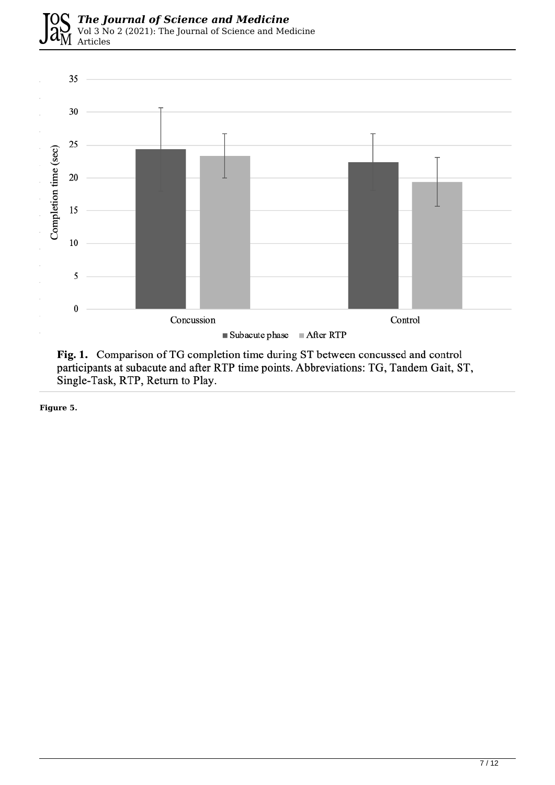

Fig. 1. Comparison of TG completion time during ST between concussed and control participants at subacute and after RTP time points. Abbreviations: TG, Tandem Gait, ST, Single-Task, RTP, Return to Play.

**Figure 5.**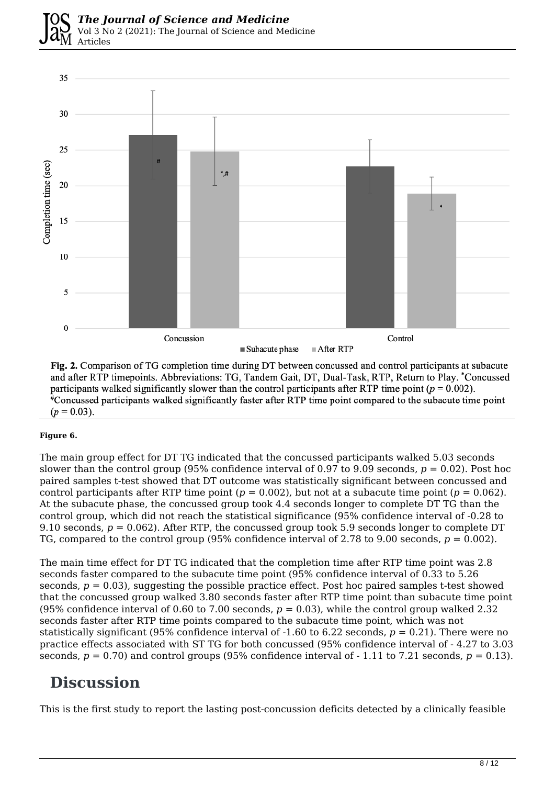

Fig. 2. Comparison of TG completion time during DT between concussed and control participants at subacute and after RTP timepoints. Abbreviations: TG, Tandem Gait, DT, Dual-Task, RTP, Return to Play. \*Concussed participants walked significantly slower than the control participants after RTP time point ( $p = 0.002$ ). #Concussed participants walked significantly faster after RTP time point compared to the subacute time point  $(p = 0.03)$ .

#### **Figure 6.**

The main group effect for DT TG indicated that the concussed participants walked 5.03 seconds slower than the control group (95% confidence interval of 0.97 to 9.09 seconds, *p* = 0.02). Post hoc paired samples t-test showed that DT outcome was statistically significant between concussed and control participants after RTP time point  $(p = 0.002)$ , but not at a subacute time point  $(p = 0.062)$ . At the subacute phase, the concussed group took 4.4 seconds longer to complete DT TG than the control group, which did not reach the statistical significance (95% confidence interval of -0.28 to 9.10 seconds, *p* = 0.062). After RTP, the concussed group took 5.9 seconds longer to complete DT TG, compared to the control group (95% confidence interval of 2.78 to 9.00 seconds, *p* = 0.002).

The main time effect for DT TG indicated that the completion time after RTP time point was 2.8 seconds faster compared to the subacute time point (95% confidence interval of 0.33 to 5.26 seconds,  $p = 0.03$ ), suggesting the possible practice effect. Post hoc paired samples t-test showed that the concussed group walked 3.80 seconds faster after RTP time point than subacute time point (95% confidence interval of 0.60 to 7.00 seconds,  $p = 0.03$ ), while the control group walked 2.32 seconds faster after RTP time points compared to the subacute time point, which was not statistically significant (95% confidence interval of -1.60 to 6.22 seconds, *p* = 0.21). There were no practice effects associated with ST TG for both concussed (95% confidence interval of - 4.27 to 3.03 seconds,  $p = 0.70$ ) and control groups (95% confidence interval of  $-1.11$  to 7.21 seconds,  $p = 0.13$ ).

### **Discussion**

This is the first study to report the lasting post-concussion deficits detected by a clinically feasible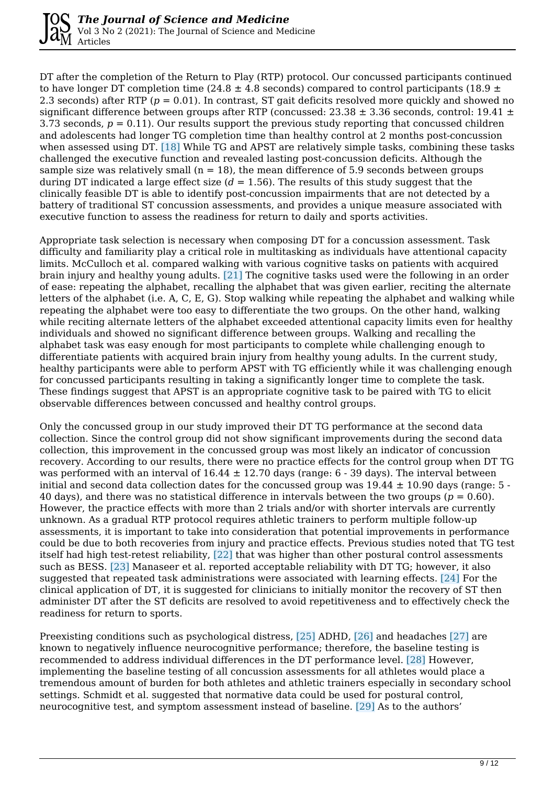DT after the completion of the Return to Play (RTP) protocol. Our concussed participants continued to have longer DT completion time (24.8  $\pm$  4.8 seconds) compared to control participants (18.9  $\pm$ 2.3 seconds) after RTP (*p* = 0.01). In contrast, ST gait deficits resolved more quickly and showed no significant difference between groups after RTP (concussed:  $23.38 \pm 3.36$  seconds, control: 19.41  $\pm$ 3.73 seconds,  $p = 0.11$ ). Our results support the previous study reporting that concussed children and adolescents had longer TG completion time than healthy control at 2 months post-concussion when assessed using DT. [18] While TG and APST are relatively simple tasks, combining these tasks challenged the executive function and revealed lasting post-concussion deficits. Although the sample size was relatively small  $(n = 18)$ , the mean difference of 5.9 seconds between groups during DT indicated a large effect size  $(d = 1.56)$ . The results of this study suggest that the clinically feasible DT is able to identify post-concussion impairments that are not detected by a battery of traditional ST concussion assessments, and provides a unique measure associated with executive function to assess the readiness for return to daily and sports activities.

Appropriate task selection is necessary when composing DT for a concussion assessment. Task difficulty and familiarity play a critical role in multitasking as individuals have attentional capacity limits. McCulloch et al. compared walking with various cognitive tasks on patients with acquired brain injury and healthy young adults. [21] The cognitive tasks used were the following in an order of ease: repeating the alphabet, recalling the alphabet that was given earlier, reciting the alternate letters of the alphabet (i.e. A, C, E, G). Stop walking while repeating the alphabet and walking while repeating the alphabet were too easy to differentiate the two groups. On the other hand, walking while reciting alternate letters of the alphabet exceeded attentional capacity limits even for healthy individuals and showed no significant difference between groups. Walking and recalling the alphabet task was easy enough for most participants to complete while challenging enough to differentiate patients with acquired brain injury from healthy young adults. In the current study, healthy participants were able to perform APST with TG efficiently while it was challenging enough for concussed participants resulting in taking a significantly longer time to complete the task. These findings suggest that APST is an appropriate cognitive task to be paired with TG to elicit observable differences between concussed and healthy control groups.

Only the concussed group in our study improved their DT TG performance at the second data collection. Since the control group did not show significant improvements during the second data collection, this improvement in the concussed group was most likely an indicator of concussion recovery. According to our results, there were no practice effects for the control group when DT TG was performed with an interval of  $16.44 \pm 12.70$  days (range:  $6 - 39$  days). The interval between initial and second data collection dates for the concussed group was  $19.44 \pm 10.90$  days (range: 5 -40 days), and there was no statistical difference in intervals between the two groups ( $p = 0.60$ ). However, the practice effects with more than 2 trials and/or with shorter intervals are currently unknown. As a gradual RTP protocol requires athletic trainers to perform multiple follow-up assessments, it is important to take into consideration that potential improvements in performance could be due to both recoveries from injury and practice effects. Previous studies noted that TG test itself had high test-retest reliability, [22] that was higher than other postural control assessments such as BESS. [23] Manaseer et al. reported acceptable reliability with DT TG; however, it also suggested that repeated task administrations were associated with learning effects. [24] For the clinical application of DT, it is suggested for clinicians to initially monitor the recovery of ST then administer DT after the ST deficits are resolved to avoid repetitiveness and to effectively check the readiness for return to sports.

Preexisting conditions such as psychological distress, [25] ADHD, [26] and headaches [27] are known to negatively influence neurocognitive performance; therefore, the baseline testing is recommended to address individual differences in the DT performance level. [28] However, implementing the baseline testing of all concussion assessments for all athletes would place a tremendous amount of burden for both athletes and athletic trainers especially in secondary school settings. Schmidt et al. suggested that normative data could be used for postural control, neurocognitive test, and symptom assessment instead of baseline. [29] As to the authors'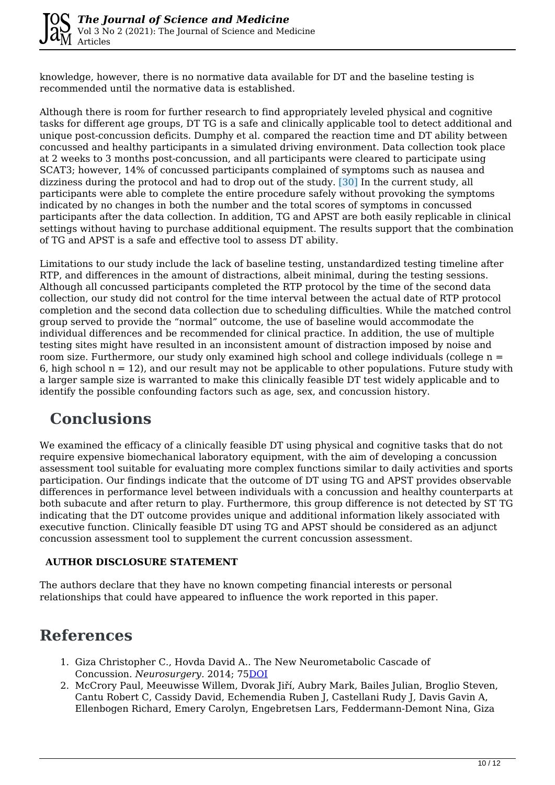

knowledge, however, there is no normative data available for DT and the baseline testing is recommended until the normative data is established.

Although there is room for further research to find appropriately leveled physical and cognitive tasks for different age groups, DT TG is a safe and clinically applicable tool to detect additional and unique post-concussion deficits. Dumphy et al. compared the reaction time and DT ability between concussed and healthy participants in a simulated driving environment. Data collection took place at 2 weeks to 3 months post-concussion, and all participants were cleared to participate using SCAT3; however, 14% of concussed participants complained of symptoms such as nausea and dizziness during the protocol and had to drop out of the study. [30] In the current study, all participants were able to complete the entire procedure safely without provoking the symptoms indicated by no changes in both the number and the total scores of symptoms in concussed participants after the data collection. In addition, TG and APST are both easily replicable in clinical settings without having to purchase additional equipment. The results support that the combination of TG and APST is a safe and effective tool to assess DT ability.

Limitations to our study include the lack of baseline testing, unstandardized testing timeline after RTP, and differences in the amount of distractions, albeit minimal, during the testing sessions. Although all concussed participants completed the RTP protocol by the time of the second data collection, our study did not control for the time interval between the actual date of RTP protocol completion and the second data collection due to scheduling difficulties. While the matched control group served to provide the "normal" outcome, the use of baseline would accommodate the individual differences and be recommended for clinical practice. In addition, the use of multiple testing sites might have resulted in an inconsistent amount of distraction imposed by noise and room size. Furthermore, our study only examined high school and college individuals (college n = 6, high school  $n = 12$ ), and our result may not be applicable to other populations. Future study with a larger sample size is warranted to make this clinically feasible DT test widely applicable and to identify the possible confounding factors such as age, sex, and concussion history.

# **Conclusions**

We examined the efficacy of a clinically feasible DT using physical and cognitive tasks that do not require expensive biomechanical laboratory equipment, with the aim of developing a concussion assessment tool suitable for evaluating more complex functions similar to daily activities and sports participation. Our findings indicate that the outcome of DT using TG and APST provides observable differences in performance level between individuals with a concussion and healthy counterparts at both subacute and after return to play. Furthermore, this group difference is not detected by ST TG indicating that the DT outcome provides unique and additional information likely associated with executive function. Clinically feasible DT using TG and APST should be considered as an adjunct concussion assessment tool to supplement the current concussion assessment.

#### **AUTHOR DISCLOSURE STATEMENT**

The authors declare that they have no known competing financial interests or personal relationships that could have appeared to influence the work reported in this paper.

## **References**

- 1. Giza Christopher C., Hovda David A.. The New Neurometabolic Cascade of Concussion. *Neurosurgery.* 2014; 7[5DOI](https://doi.org/10.1227/neu.0000000000000505)
- 2. McCrory Paul, Meeuwisse Willem, Dvorak Jiří, Aubry Mark, Bailes Julian, Broglio Steven, Cantu Robert C, Cassidy David, Echemendia Ruben J, Castellani Rudy J, Davis Gavin A, Ellenbogen Richard, Emery Carolyn, Engebretsen Lars, Feddermann-Demont Nina, Giza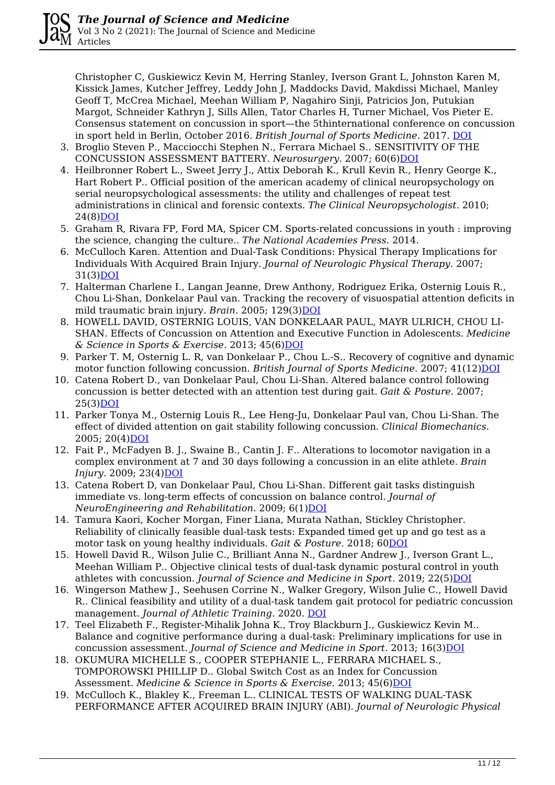Christopher C, Guskiewicz Kevin M, Herring Stanley, Iverson Grant L, Johnston Karen M, Kissick James, Kutcher Jeffrey, Leddy John J, Maddocks David, Makdissi Michael, Manley Geoff T, McCrea Michael, Meehan William P, Nagahiro Sinji, Patricios Jon, Putukian Margot, Schneider Kathryn J, Sills Allen, Tator Charles H, Turner Michael, Vos Pieter E. Consensus statement on concussion in sport—the 5thinternational conference on concussion in sport held in Berlin, October 2016. *British Journal of Sports Medicine.* 2017. [DOI](https://doi.org/10.1136/bjsports-2017-097699)

- 3. Broglio Steven P., Macciocchi Stephen N., Ferrara Michael S.. SENSITIVITY OF THE CONCUSSION ASSESSMENT BATTERY. *Neurosurgery.* 2007; 60(6[\)DOI](https://doi.org/10.1227/01.neu.0000255479.90999.c0)
- 4. Heilbronner Robert L., Sweet Jerry J., Attix Deborah K., Krull Kevin R., Henry George K., Hart Robert P.. Official position of the american academy of clinical neuropsychology on serial neuropsychological assessments: the utility and challenges of repeat test administrations in clinical and forensic contexts. *The Clinical Neuropsychologist.* 2010; 24(8)[DOI](https://doi.org/10.1080/13854046.2010.526785)
- 5. Graham R, Rivara FP, Ford MA, Spicer CM. Sports-related concussions in youth : improving the science, changing the culture.. *The National Academies Press.* 2014.
- 6. McCulloch Karen. Attention and Dual-Task Conditions: Physical Therapy Implications for Individuals With Acquired Brain Injury. *Journal of Neurologic Physical Therapy.* 2007; 31(3)[DOI](https://doi.org/10.1097/npt.0b013e31814a6493)
- 7. Halterman Charlene I., Langan Jeanne, Drew Anthony, Rodriguez Erika, Osternig Louis R., Chou Li-Shan, Donkelaar Paul van. Tracking the recovery of visuospatial attention deficits in mild traumatic brain injury. Brain. 2005; 129(3[\)DOI](https://doi.org/10.1093/brain/awh705)
- 8. HOWELL DAVID, OSTERNIG LOUIS, VAN DONKELAAR PAUL, MAYR ULRICH, CHOU LI-SHAN. Effects of Concussion on Attention and Executive Function in Adolescents. *Medicine & Science in Sports & Exercise.* 2013; 45(6[\)DOI](https://doi.org/10.1249/mss.0b013e3182814595)
- 9. Parker T. M, Osternig L. R, van Donkelaar P., Chou L.-S.. Recovery of cognitive and dynamic motor function following concussion. *British Journal of Sports Medicine.* 2007; 41(12)[DOI](https://doi.org/10.1136/bjsm.2006.033761)
- 10. Catena Robert D., van Donkelaar Paul, Chou Li-Shan. Altered balance control following concussion is better detected with an attention test during gait. *Gait & Posture.* 2007; 25(3)[DOI](https://doi.org/10.1016/j.gaitpost.2006.05.006)
- 11. Parker Tonya M., Osternig Louis R., Lee Heng-Ju, Donkelaar Paul van, Chou Li-Shan. The effect of divided attention on gait stability following concussion. *Clinical Biomechanics.* 2005; 20(4)[DOI](https://doi.org/10.1016/j.clinbiomech.2004.12.004)
- 12. Fait P., McFadyen B. J., Swaine B., Cantin J. F.. Alterations to locomotor navigation in a complex environment at 7 and 30 days following a concussion in an elite athlete. *Brain Injury.* 2009; 23(4[\)DOI](https://doi.org/10.1080/02699050902788485)
- 13. Catena Robert D, van Donkelaar Paul, Chou Li-Shan. Different gait tasks distinguish immediate vs. long-term effects of concussion on balance control. *Journal of NeuroEngineering and Rehabilitation.* 2009; 6(1)[DOI](https://doi.org/10.1186/1743-0003-6-25)
- 14. Tamura Kaori, Kocher Morgan, Finer Liana, Murata Nathan, Stickley Christopher. Reliability of clinically feasible dual-task tests: Expanded timed get up and go test as a motor task on young healthy individuals. *Gait & Posture.* 2018; 6[0DOI](https://doi.org/10.1016/j.gaitpost.2017.11.002)
- 15. Howell David R., Wilson Julie C., Brilliant Anna N., Gardner Andrew J., Iverson Grant L., Meehan William P.. Objective clinical tests of dual-task dynamic postural control in youth athletes with concussion. *Journal of Science and Medicine in Sport.* 2019; 22(5[\)DOI](https://doi.org/10.1016/j.jsams.2018.11.014)
- 16. Wingerson Mathew J., Seehusen Corrine N., Walker Gregory, Wilson Julie C., Howell David R.. Clinical feasibility and utility of a dual-task tandem gait protocol for pediatric concussion management. *Journal of Athletic Training.* 2020. [DOI](https://doi.org/10.4085/323-20)
- 17. Teel Elizabeth F., Register-Mihalik Johna K., Troy Blackburn J., Guskiewicz Kevin M.. Balance and cognitive performance during a dual-task: Preliminary implications for use in concussion assessment. *Journal of Science and Medicine in Sport.* 2013; 16(3[\)DOI](https://doi.org/10.1016/j.jsams.2012.09.007)
- 18. OKUMURA MICHELLE S., COOPER STEPHANIE L., FERRARA MICHAEL S., TOMPOROWSKI PHILLIP D.. Global Switch Cost as an Index for Concussion Assessment. *Medicine & Science in Sports & Exercise.* 2013; 45(6[\)DOI](https://doi.org/10.1249/mss.0b013e318281e1fb)
- 19. McCulloch K., Blakley K., Freeman L.. CLINICAL TESTS OF WALKING DUAL-TASK PERFORMANCE AFTER ACQUIRED BRAIN INJURY (ABI). *Journal of Neurologic Physical*